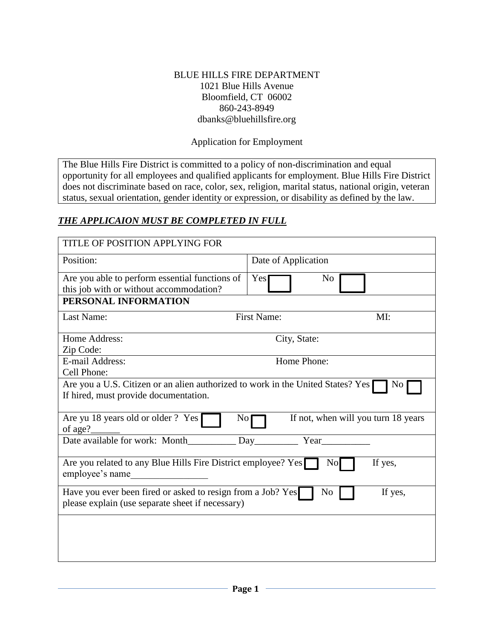#### BLUE HILLS FIRE DEPARTMENT 1021 Blue Hills Avenue Bloomfield, CT 06002 860-243-8949 dbanks@bluehillsfire.org

#### Application for Employment

The Blue Hills Fire District is committed to a policy of non-discrimination and equal opportunity for all employees and qualified applicants for employment. Blue Hills Fire District does not discriminate based on race, color, sex, religion, marital status, national origin, veteran status, sexual orientation, gender identity or expression, or disability as defined by the law.

#### *THE APPLICAION MUST BE COMPLETED IN FULL*

| TITLE OF POSITION APPLYING FOR                                                                                                  |                                     |  |  |
|---------------------------------------------------------------------------------------------------------------------------------|-------------------------------------|--|--|
| Position:                                                                                                                       | Date of Application                 |  |  |
| Are you able to perform essential functions of                                                                                  | Yes<br>No                           |  |  |
| this job with or without accommodation?                                                                                         |                                     |  |  |
| PERSONAL INFORMATION                                                                                                            |                                     |  |  |
| Last Name:                                                                                                                      | <b>First Name:</b><br>MI:           |  |  |
| Home Address:                                                                                                                   | City, State:                        |  |  |
| Zip Code:                                                                                                                       |                                     |  |  |
| E-mail Address:                                                                                                                 | Home Phone:                         |  |  |
| Cell Phone:                                                                                                                     |                                     |  |  |
| Are you a U.S. Citizen or an alien authorized to work in the United States? Yes<br>No.<br>If hired, must provide documentation. |                                     |  |  |
| Are yu 18 years old or older ? Yes<br>No <sub>1</sub><br>of age?                                                                | If not, when will you turn 18 years |  |  |
| Date available for work: Month                                                                                                  | Year                                |  |  |
| Are you related to any Blue Hills Fire District employee? Yes<br>If yes,<br>$\overline{N}$<br>employee's name                   |                                     |  |  |
| Have you ever been fired or asked to resign from a Job? Yes<br>please explain (use separate sheet if necessary)                 | If yes,<br>N <sub>0</sub>           |  |  |
|                                                                                                                                 |                                     |  |  |
|                                                                                                                                 |                                     |  |  |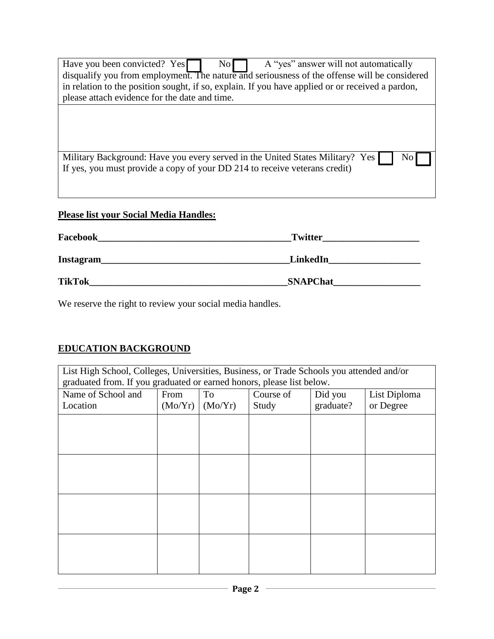| A "yes" answer will not automatically<br>Have you been convicted? Yes<br>$\text{No}$<br>disqualify you from employment. The nature and seriousness of the offense will be considered<br>in relation to the position sought, if so, explain. If you have applied or or received a pardon,<br>please attach evidence for the date and time. |
|-------------------------------------------------------------------------------------------------------------------------------------------------------------------------------------------------------------------------------------------------------------------------------------------------------------------------------------------|
| Military Background: Have you every served in the United States Military? Yes<br>No<br>If yes, you must provide a copy of your DD 214 to receive veterans credit)                                                                                                                                                                         |
|                                                                                                                                                                                                                                                                                                                                           |

# **Please list your Social Media Handles:**

| Facebook      | <b>Twitter</b>  |
|---------------|-----------------|
| Instagram     | LinkedIn        |
| <b>TikTok</b> | <b>SNAPChat</b> |

We reserve the right to review your social media handles.

# **EDUCATION BACKGROUND**

| List High School, Colleges, Universities, Business, or Trade Schools you attended and/or<br>graduated from. If you graduated or earned honors, please list below. |         |         |           |           |              |
|-------------------------------------------------------------------------------------------------------------------------------------------------------------------|---------|---------|-----------|-----------|--------------|
| Name of School and                                                                                                                                                | From    | To      | Course of | Did you   | List Diploma |
| Location                                                                                                                                                          | (Mo/Yr) | (Mo/Yr) | Study     | graduate? | or Degree    |
|                                                                                                                                                                   |         |         |           |           |              |
|                                                                                                                                                                   |         |         |           |           |              |
|                                                                                                                                                                   |         |         |           |           |              |
|                                                                                                                                                                   |         |         |           |           |              |
|                                                                                                                                                                   |         |         |           |           |              |
|                                                                                                                                                                   |         |         |           |           |              |
|                                                                                                                                                                   |         |         |           |           |              |
|                                                                                                                                                                   |         |         |           |           |              |
|                                                                                                                                                                   |         |         |           |           |              |
|                                                                                                                                                                   |         |         |           |           |              |
|                                                                                                                                                                   |         |         |           |           |              |
|                                                                                                                                                                   |         |         |           |           |              |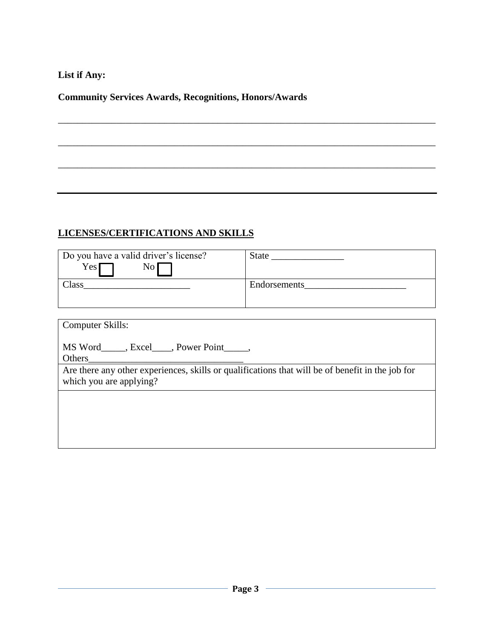### **List if Any:**

### **Community Services Awards, Recognitions, Honors/Awards**

# **LICENSES/CERTIFICATIONS AND SKILLS**

| Do you have a valid driver's license?                                                            |  |  |
|--------------------------------------------------------------------------------------------------|--|--|
| No <sub>1</sub><br>Yes                                                                           |  |  |
|                                                                                                  |  |  |
|                                                                                                  |  |  |
|                                                                                                  |  |  |
| <b>Computer Skills:</b>                                                                          |  |  |
|                                                                                                  |  |  |
| MS Word_____, Excel____, Power Point_____,                                                       |  |  |
|                                                                                                  |  |  |
| Are there any other experiences, skills or qualifications that will be of benefit in the job for |  |  |
| which you are applying?                                                                          |  |  |
|                                                                                                  |  |  |
|                                                                                                  |  |  |

\_\_\_\_\_\_\_\_\_\_\_\_\_\_\_\_\_\_\_\_\_\_\_\_\_\_\_\_\_\_\_\_\_\_\_\_\_\_\_\_\_\_\_\_\_\_\_\_\_\_\_\_\_\_\_\_\_\_\_\_\_\_\_\_\_\_\_\_\_\_\_\_\_\_\_\_\_\_

\_\_\_\_\_\_\_\_\_\_\_\_\_\_\_\_\_\_\_\_\_\_\_\_\_\_\_\_\_\_\_\_\_\_\_\_\_\_\_\_\_\_\_\_\_\_\_\_\_\_\_\_\_\_\_\_\_\_\_\_\_\_\_\_\_\_\_\_\_\_\_\_\_\_\_\_\_\_

\_\_\_\_\_\_\_\_\_\_\_\_\_\_\_\_\_\_\_\_\_\_\_\_\_\_\_\_\_\_\_\_\_\_\_\_\_\_\_\_\_\_\_\_\_\_\_\_\_\_\_\_\_\_\_\_\_\_\_\_\_\_\_\_\_\_\_\_\_\_\_\_\_\_\_\_\_\_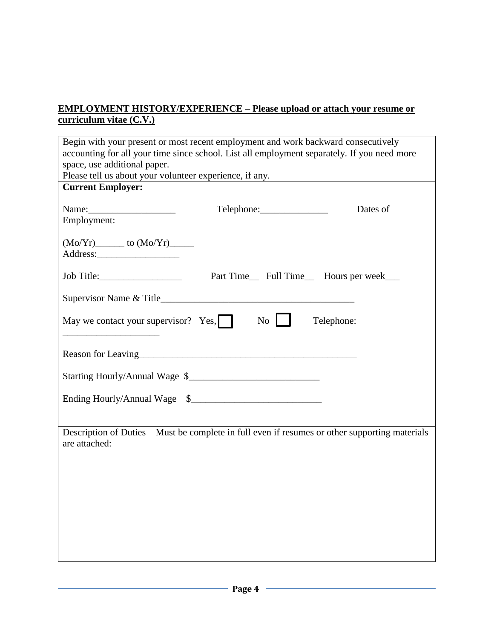### **EMPLOYMENT HISTORY/EXPERIENCE – Please upload or attach your resume or curriculum vitae (C.V.)**

| Begin with your present or most recent employment and work backward consecutively                                           |                  |                                                                                                                       |  |
|-----------------------------------------------------------------------------------------------------------------------------|------------------|-----------------------------------------------------------------------------------------------------------------------|--|
| accounting for all your time since school. List all employment separately. If you need more<br>space, use additional paper. |                  |                                                                                                                       |  |
| Please tell us about your volunteer experience, if any.                                                                     |                  | <u> 1989 - Johann Harry Harry Harry Harry Harry Harry Harry Harry Harry Harry Harry Harry Harry Harry Harry Harry</u> |  |
| <b>Current Employer:</b>                                                                                                    |                  |                                                                                                                       |  |
|                                                                                                                             |                  | Dates of                                                                                                              |  |
| Employment:                                                                                                                 |                  |                                                                                                                       |  |
|                                                                                                                             |                  |                                                                                                                       |  |
|                                                                                                                             |                  |                                                                                                                       |  |
|                                                                                                                             |                  | Part Time__ Full Time__ Hours per week___                                                                             |  |
|                                                                                                                             |                  |                                                                                                                       |  |
| May we contact your supervisor? Yes, $\Box$                                                                                 | $\overline{N_0}$ | Telephone:                                                                                                            |  |
|                                                                                                                             |                  |                                                                                                                       |  |
|                                                                                                                             |                  |                                                                                                                       |  |
|                                                                                                                             |                  |                                                                                                                       |  |
|                                                                                                                             |                  |                                                                                                                       |  |
| are attached:                                                                                                               |                  | Description of Duties - Must be complete in full even if resumes or other supporting materials                        |  |
|                                                                                                                             |                  |                                                                                                                       |  |
|                                                                                                                             |                  |                                                                                                                       |  |
|                                                                                                                             |                  |                                                                                                                       |  |
|                                                                                                                             |                  |                                                                                                                       |  |
|                                                                                                                             |                  |                                                                                                                       |  |
|                                                                                                                             |                  |                                                                                                                       |  |
|                                                                                                                             |                  |                                                                                                                       |  |
|                                                                                                                             |                  |                                                                                                                       |  |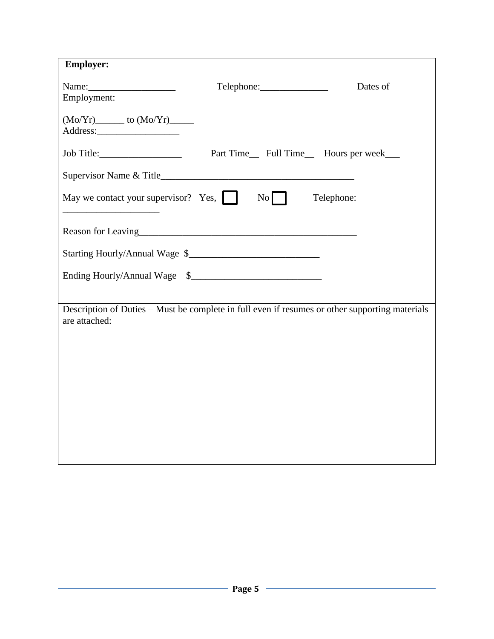| <b>Employer:</b>                                                                                                                                                                                                                                 |                                           |          |
|--------------------------------------------------------------------------------------------------------------------------------------------------------------------------------------------------------------------------------------------------|-------------------------------------------|----------|
|                                                                                                                                                                                                                                                  | Telephone: 2000                           | Dates of |
| Employment:                                                                                                                                                                                                                                      |                                           |          |
| $(Mo/Yr)$ to $(Mo/Yr)$ to $(Mo/Yr)$ to $(Mo/Yr)$ to $(Mo/Yr)$ to $(Mo/Yr)$ and $(Mo/Yr)$ and $(Mo/Yr)$ and $(Mo/Yr)$ and $(Mo/Yr)$ and $(Mo/Yr)$ and $(Mo/Yr)$ and $(Mo/Yr)$ and $(Mo/Yr)$ and $(Mo/Yr)$ and $(Mo/Yr)$ and $(Mo/Yr)$ and $(Mo/Y$ |                                           |          |
|                                                                                                                                                                                                                                                  |                                           |          |
|                                                                                                                                                                                                                                                  | Part Time__ Full Time__ Hours per week___ |          |
|                                                                                                                                                                                                                                                  |                                           |          |
| May we contact your supervisor? Yes, No                                                                                                                                                                                                          | Telephone:                                |          |
| Reason for Leaving<br><u>Example 2014</u>                                                                                                                                                                                                        |                                           |          |
|                                                                                                                                                                                                                                                  |                                           |          |
| Ending Hourly/Annual Wage \$                                                                                                                                                                                                                     |                                           |          |
|                                                                                                                                                                                                                                                  |                                           |          |
| Description of Duties - Must be complete in full even if resumes or other supporting materials<br>are attached:                                                                                                                                  |                                           |          |
|                                                                                                                                                                                                                                                  |                                           |          |
|                                                                                                                                                                                                                                                  |                                           |          |
|                                                                                                                                                                                                                                                  |                                           |          |
|                                                                                                                                                                                                                                                  |                                           |          |
|                                                                                                                                                                                                                                                  |                                           |          |
|                                                                                                                                                                                                                                                  |                                           |          |
|                                                                                                                                                                                                                                                  |                                           |          |
|                                                                                                                                                                                                                                                  |                                           |          |
|                                                                                                                                                                                                                                                  |                                           |          |
|                                                                                                                                                                                                                                                  |                                           |          |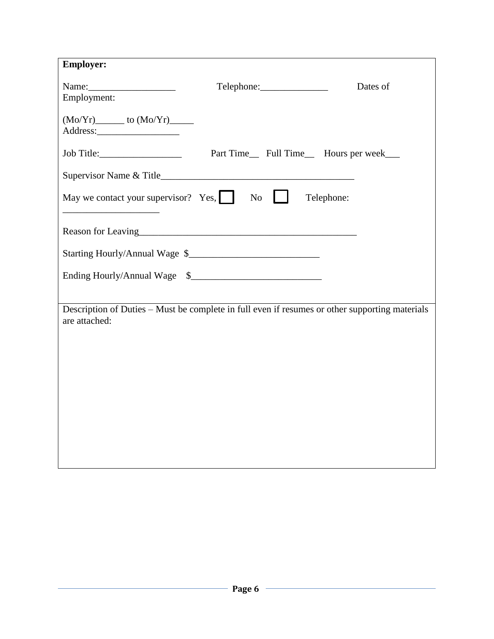| <b>Employer:</b>                                                                                                  |                                           |          |
|-------------------------------------------------------------------------------------------------------------------|-------------------------------------------|----------|
|                                                                                                                   |                                           | Dates of |
| Employment:                                                                                                       |                                           |          |
|                                                                                                                   |                                           |          |
|                                                                                                                   |                                           |          |
|                                                                                                                   | Part Time__ Full Time__ Hours per week___ |          |
|                                                                                                                   |                                           |          |
| May we contact your supervisor? Yes, $\Box$ No $\Box$<br><u> 1989 - Johann John Stein, mars eta biztanleria (</u> | Telephone:                                |          |
|                                                                                                                   |                                           |          |
|                                                                                                                   |                                           |          |
|                                                                                                                   |                                           |          |
|                                                                                                                   |                                           |          |
| Description of Duties - Must be complete in full even if resumes or other supporting materials<br>are attached:   |                                           |          |
|                                                                                                                   |                                           |          |
|                                                                                                                   |                                           |          |
|                                                                                                                   |                                           |          |
|                                                                                                                   |                                           |          |
|                                                                                                                   |                                           |          |
|                                                                                                                   |                                           |          |
|                                                                                                                   |                                           |          |
|                                                                                                                   |                                           |          |
|                                                                                                                   |                                           |          |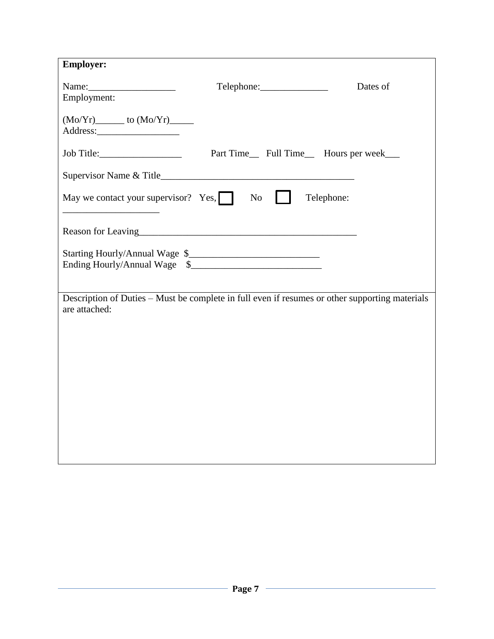| <b>Employer:</b>                                                                                                                                                                                                                                                                                      |                                                                                                |          |
|-------------------------------------------------------------------------------------------------------------------------------------------------------------------------------------------------------------------------------------------------------------------------------------------------------|------------------------------------------------------------------------------------------------|----------|
| Name: $\frac{1}{2}$ Name: $\frac{1}{2}$ Name: $\frac{1}{2}$ Name: $\frac{1}{2}$ Name: $\frac{1}{2}$ Name: $\frac{1}{2}$ Name: $\frac{1}{2}$ Name: $\frac{1}{2}$ Name: $\frac{1}{2}$ Name: $\frac{1}{2}$ Name: $\frac{1}{2}$ Name: $\frac{1}{2}$ Name: $\frac{1}{2}$ Name: $\frac{1}{2$<br>Employment: |                                                                                                | Dates of |
| $(Mo/Yr)$ to $(Mo/Yr)$ to $(Mo/Yr)$ to $(Mo/Yr)$ to $(Mo/Yr)$ to $(Mo/Yr)$ and $(Mo/Yr)$ and $(Mo/Yr)$ and $(Mo/Yr)$ and $(Mo/Yr)$ and $(Mo/Yr)$ and $(Mo/Yr)$ and $(Mo/Yr)$ and $(Mo/Yr)$ and $(Mo/Yr)$ and $(Mo/Yr)$ and $(Mo/Yr)$ and $(Mo/Y$                                                      |                                                                                                |          |
|                                                                                                                                                                                                                                                                                                       |                                                                                                |          |
|                                                                                                                                                                                                                                                                                                       | Part Time__ Full Time__ Hours per week___                                                      |          |
|                                                                                                                                                                                                                                                                                                       |                                                                                                |          |
| May we contact your supervisor? Yes, $\Box$ No<br><u> 1989 - Johann Barbara, martxa al III-lea</u>                                                                                                                                                                                                    | Telephone:                                                                                     |          |
|                                                                                                                                                                                                                                                                                                       | Reason for Leaving<br><u>Example 2014</u>                                                      |          |
| Ending Hourly/Annual Wage \$                                                                                                                                                                                                                                                                          |                                                                                                |          |
| are attached:                                                                                                                                                                                                                                                                                         | Description of Duties - Must be complete in full even if resumes or other supporting materials |          |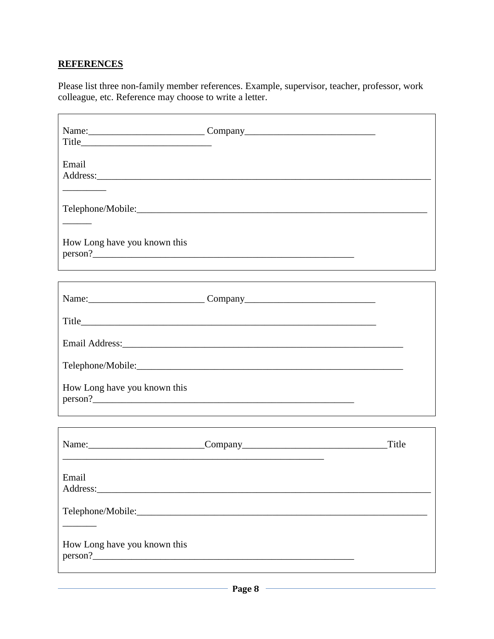#### **REFERENCES**

Please list three non-family member references. Example, supervisor, teacher, professor, work colleague, etc. Reference may choose to write a letter.

| Email<br>$\mathcal{L}$                                                                                                                                                                                                                                                                                                                                                                                                                                                     |  |
|----------------------------------------------------------------------------------------------------------------------------------------------------------------------------------------------------------------------------------------------------------------------------------------------------------------------------------------------------------------------------------------------------------------------------------------------------------------------------|--|
| $\frac{1}{2} \left( \frac{1}{2} \right) \left( \frac{1}{2} \right) \left( \frac{1}{2} \right) \left( \frac{1}{2} \right) \left( \frac{1}{2} \right) \left( \frac{1}{2} \right) \left( \frac{1}{2} \right) \left( \frac{1}{2} \right) \left( \frac{1}{2} \right) \left( \frac{1}{2} \right) \left( \frac{1}{2} \right) \left( \frac{1}{2} \right) \left( \frac{1}{2} \right) \left( \frac{1}{2} \right) \left( \frac{1}{2} \right) \left( \frac{1}{2} \right) \left( \frac$ |  |
| How Long have you known this                                                                                                                                                                                                                                                                                                                                                                                                                                               |  |
|                                                                                                                                                                                                                                                                                                                                                                                                                                                                            |  |
|                                                                                                                                                                                                                                                                                                                                                                                                                                                                            |  |
|                                                                                                                                                                                                                                                                                                                                                                                                                                                                            |  |
|                                                                                                                                                                                                                                                                                                                                                                                                                                                                            |  |
| How Long have you known this                                                                                                                                                                                                                                                                                                                                                                                                                                               |  |
|                                                                                                                                                                                                                                                                                                                                                                                                                                                                            |  |
| Email                                                                                                                                                                                                                                                                                                                                                                                                                                                                      |  |
|                                                                                                                                                                                                                                                                                                                                                                                                                                                                            |  |
| How Long have you known this                                                                                                                                                                                                                                                                                                                                                                                                                                               |  |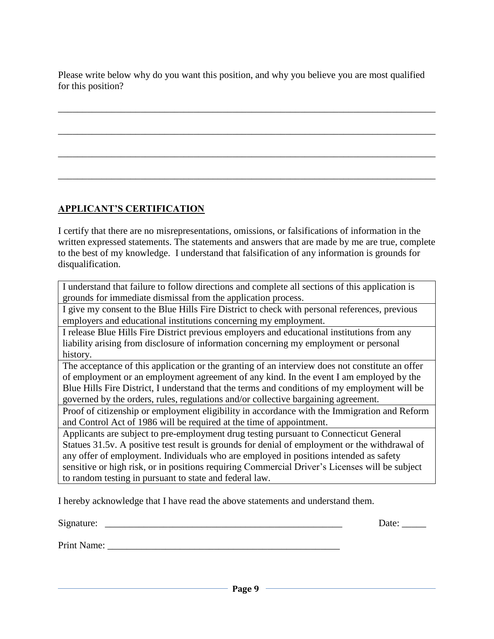Please write below why do you want this position, and why you believe you are most qualified for this position?

\_\_\_\_\_\_\_\_\_\_\_\_\_\_\_\_\_\_\_\_\_\_\_\_\_\_\_\_\_\_\_\_\_\_\_\_\_\_\_\_\_\_\_\_\_\_\_\_\_\_\_\_\_\_\_\_\_\_\_\_\_\_\_\_\_\_\_\_\_\_\_\_\_\_\_\_\_\_

\_\_\_\_\_\_\_\_\_\_\_\_\_\_\_\_\_\_\_\_\_\_\_\_\_\_\_\_\_\_\_\_\_\_\_\_\_\_\_\_\_\_\_\_\_\_\_\_\_\_\_\_\_\_\_\_\_\_\_\_\_\_\_\_\_\_\_\_\_\_\_\_\_\_\_\_\_\_

\_\_\_\_\_\_\_\_\_\_\_\_\_\_\_\_\_\_\_\_\_\_\_\_\_\_\_\_\_\_\_\_\_\_\_\_\_\_\_\_\_\_\_\_\_\_\_\_\_\_\_\_\_\_\_\_\_\_\_\_\_\_\_\_\_\_\_\_\_\_\_\_\_\_\_\_\_\_

\_\_\_\_\_\_\_\_\_\_\_\_\_\_\_\_\_\_\_\_\_\_\_\_\_\_\_\_\_\_\_\_\_\_\_\_\_\_\_\_\_\_\_\_\_\_\_\_\_\_\_\_\_\_\_\_\_\_\_\_\_\_\_\_\_\_\_\_\_\_\_\_\_\_\_\_\_\_

### **APPLICANT'S CERTIFICATION**

I certify that there are no misrepresentations, omissions, or falsifications of information in the written expressed statements. The statements and answers that are made by me are true, complete to the best of my knowledge. I understand that falsification of any information is grounds for disqualification.

I understand that failure to follow directions and complete all sections of this application is grounds for immediate dismissal from the application process.

I give my consent to the Blue Hills Fire District to check with personal references, previous employers and educational institutions concerning my employment.

I release Blue Hills Fire District previous employers and educational institutions from any liability arising from disclosure of information concerning my employment or personal history.

The acceptance of this application or the granting of an interview does not constitute an offer of employment or an employment agreement of any kind. In the event I am employed by the Blue Hills Fire District, I understand that the terms and conditions of my employment will be governed by the orders, rules, regulations and/or collective bargaining agreement.

Proof of citizenship or employment eligibility in accordance with the Immigration and Reform and Control Act of 1986 will be required at the time of appointment.

Applicants are subject to pre-employment drug testing pursuant to Connecticut General Statues 31.5v. A positive test result is grounds for denial of employment or the withdrawal of any offer of employment. Individuals who are employed in positions intended as safety sensitive or high risk, or in positions requiring Commercial Driver's Licenses will be subject to random testing in pursuant to state and federal law.

I hereby acknowledge that I have read the above statements and understand them.

Signature: \_\_\_\_\_\_\_\_\_\_\_\_\_\_\_\_\_\_\_\_\_\_\_\_\_\_\_\_\_\_\_\_\_\_\_\_\_\_\_\_\_\_\_\_\_\_\_\_\_ Date: \_\_\_\_\_

Print Name: \_\_\_\_\_\_\_\_\_\_\_\_\_\_\_\_\_\_\_\_\_\_\_\_\_\_\_\_\_\_\_\_\_\_\_\_\_\_\_\_\_\_\_\_\_\_\_\_